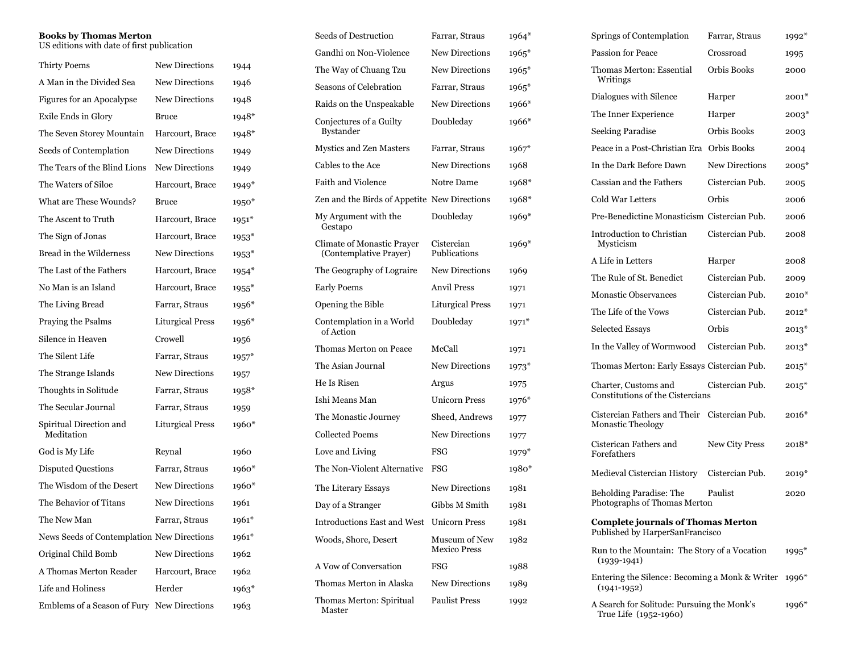## **Books by Thomas Merton**

US editions with date of first publication

| <b>Thirty Poems</b>                        | <b>New Directions</b>   | 1944    |
|--------------------------------------------|-------------------------|---------|
| A Man in the Divided Sea                   | <b>New Directions</b>   | 1946    |
| Figures for an Apocalypse                  | <b>New Directions</b>   | 1948    |
| Exile Ends in Glory                        | Bruce                   | 1948*   |
| The Seven Storey Mountain                  | Harcourt, Brace         | 1948*   |
| Seeds of Contemplation                     | <b>New Directions</b>   | 1949    |
| The Tears of the Blind Lions               | <b>New Directions</b>   | 1949    |
| The Waters of Siloe                        | Harcourt, Brace         | 1949*   |
| What are These Wounds?                     | Bruce                   | $1950*$ |
| The Ascent to Truth                        | Harcourt, Brace         | $1951*$ |
| The Sign of Jonas                          | Harcourt, Brace         | $1953*$ |
| Bread in the Wilderness                    | <b>New Directions</b>   | $1953*$ |
| The Last of the Fathers                    | Harcourt, Brace         | $1954*$ |
| No Man is an Island                        | Harcourt, Brace         | $1955*$ |
| The Living Bread                           | Farrar, Straus          | $1956*$ |
| Praying the Psalms                         | <b>Liturgical Press</b> | $1956*$ |
| Silence in Heaven                          | Crowell                 | 1956    |
| The Silent Life                            | Farrar, Straus          | $1957*$ |
| The Strange Islands                        | <b>New Directions</b>   | 1957    |
| Thoughts in Solitude                       | Farrar, Straus          | 1958*   |
| The Secular Journal                        | Farrar, Straus          | 1959    |
| Spiritual Direction and<br>Meditation      | <b>Liturgical Press</b> | 1960*   |
| God is My Life                             | Reynal                  | 1960    |
| <b>Disputed Questions</b>                  | Farrar, Straus          | 1960*   |
| The Wisdom of the Desert                   | <b>New Directions</b>   | 1960*   |
| The Behavior of Titans                     | <b>New Directions</b>   | 1961    |
| The New Man                                | Farrar, Straus          | 1961*   |
| News Seeds of Contemplation New Directions |                         | $1961*$ |
| Original Child Bomb                        | <b>New Directions</b>   | 1962    |
| A Thomas Merton Reader                     | Harcourt, Brace         | 1962    |
| Life and Holiness                          | Herder                  | 1963*   |
| Emblems of a Season of Fury                | New Directions          | 1963    |

| Seeds of Destruction                                 | Farrar, Straus                       | 1964*   |
|------------------------------------------------------|--------------------------------------|---------|
| Gandhi on Non-Violence                               | <b>New Directions</b>                | 1965*   |
| The Way of Chuang Tzu                                | <b>New Directions</b>                | $1965*$ |
| <b>Seasons of Celebration</b>                        | Farrar, Straus                       | 1965*   |
| Raids on the Unspeakable                             | <b>New Directions</b>                | 1966*   |
| Conjectures of a Guilty<br><b>Bystander</b>          | Doubleday                            | 1966*   |
| Mystics and Zen Masters                              | Farrar, Straus                       | $1967*$ |
| Cables to the Ace                                    | <b>New Directions</b>                | 1968    |
| Faith and Violence                                   | Notre Dame                           | 1968*   |
| Zen and the Birds of Appetite New Directions         |                                      | 1968*   |
| My Argument with the<br>Gestapo                      | Doubleday                            | 1969*   |
| Climate of Monastic Praver<br>(Contemplative Prayer) | Cistercian<br>Publications           | 1969*   |
| The Geography of Lograire                            | <b>New Directions</b>                | 1969    |
| Early Poems                                          | Anvil Press                          | 1971    |
| Opening the Bible                                    | Liturgical Press                     | 1971    |
| Contemplation in a World<br>of Action                | Doubleday                            | 1971*   |
| Thomas Merton on Peace                               | McCall                               | 1971    |
| The Asian Journal                                    | <b>New Directions</b>                | 1973*   |
| He Is Risen                                          | Argus                                | 1975    |
| Ishi Means Man                                       | <b>Unicorn Press</b>                 | 1976*   |
| The Monastic Journey                                 | Sheed, Andrews                       | 1977    |
| Collected Poems                                      | <b>New Directions</b>                | 1977    |
| Love and Living                                      | FSG                                  | 1979*   |
| The Non-Violent Alternative                          | FSG                                  | 1980*   |
| The Literary Essays                                  | New Directions                       | 1981    |
| Day of a Stranger                                    | Gibbs M Smith                        | 1981    |
| <b>Introductions East and West</b>                   | <b>Unicorn Press</b>                 | 1981    |
| Woods, Shore, Desert                                 | Museum of New<br><b>Mexico Press</b> | 1982    |
| A Vow of Conversation                                | FSG                                  | 1988    |
| Thomas Merton in Alaska                              | <b>New Directions</b>                | 1989    |
| Thomas Merton: Spiritual<br>Master                   | <b>Paulist Press</b>                 | 1992    |

|                                                                              | Springs of Contemplation                                                 | Farrar, Straus        | 1992*   |
|------------------------------------------------------------------------------|--------------------------------------------------------------------------|-----------------------|---------|
|                                                                              | <b>Passion for Peace</b>                                                 | Crossroad             | 1995    |
|                                                                              | Thomas Merton: Essential<br>Writings                                     | Orbis Books           | 2000    |
|                                                                              | Dialogues with Silence                                                   | Harper                | $2001*$ |
|                                                                              | The Inner Experience                                                     | Harper                | 2003*   |
|                                                                              | <b>Seeking Paradise</b>                                                  | Orbis Books           | 2003    |
|                                                                              | Peace in a Post-Christian Era                                            | Orbis Books           | 2004    |
|                                                                              | In the Dark Before Dawn                                                  | <b>New Directions</b> | $2005*$ |
|                                                                              | Cassian and the Fathers                                                  | Cistercian Pub.       | 2005    |
|                                                                              | Cold War Letters                                                         | Orbis                 | 2006    |
|                                                                              | Pre-Benedictine Monasticism Cistercian Pub.                              |                       | 2006    |
|                                                                              | Introduction to Christian<br>Mysticism                                   | Cistercian Pub.       | 2008    |
|                                                                              | A Life in Letters                                                        | Harper                | 2008    |
|                                                                              | The Rule of St. Benedict                                                 | Cistercian Pub.       | 2009    |
|                                                                              | <b>Monastic Observances</b>                                              | Cistercian Pub.       | $2010*$ |
|                                                                              | The Life of the Vows                                                     | Cistercian Pub.       | $2012*$ |
|                                                                              | Selected Essays                                                          | Orbis                 | $2013*$ |
|                                                                              | In the Valley of Wormwood                                                | Cistercian Pub.       | $2013*$ |
|                                                                              | Thomas Merton: Early Essays Cistercian Pub.                              |                       | $2015*$ |
|                                                                              | Charter, Customs and<br>Constitutions of the Cistercians                 | Cistercian Pub.       | $2015*$ |
|                                                                              | Cistercian Fathers and Their Cistercian Pub.<br><b>Monastic Theology</b> |                       | $2016*$ |
|                                                                              | Cisterican Fathers and<br>Forefathers                                    | New City Press        | 2018*   |
|                                                                              | Medieval Cistercian History Cistercian Pub.                              |                       | $2019*$ |
|                                                                              | Beholding Paradise: The<br>Photographs of Thomas Merton                  | Paulist               | 2020    |
| <b>Complete journals of Thomas Merton</b><br>Published by HarperSanFrancisco |                                                                          |                       |         |
|                                                                              | Run to the Mountain: The Story of a Vocation<br>$(1939 - 1941)$          |                       | $1995*$ |
|                                                                              | Entering the Silence: Becoming a Monk & Writer<br>$(1941 - 1952)$        |                       | 1996*   |
|                                                                              | A Search for Solitude: Pursuing the Monk's<br>True Life (1952-1960)      |                       | 1996*   |
|                                                                              |                                                                          |                       |         |